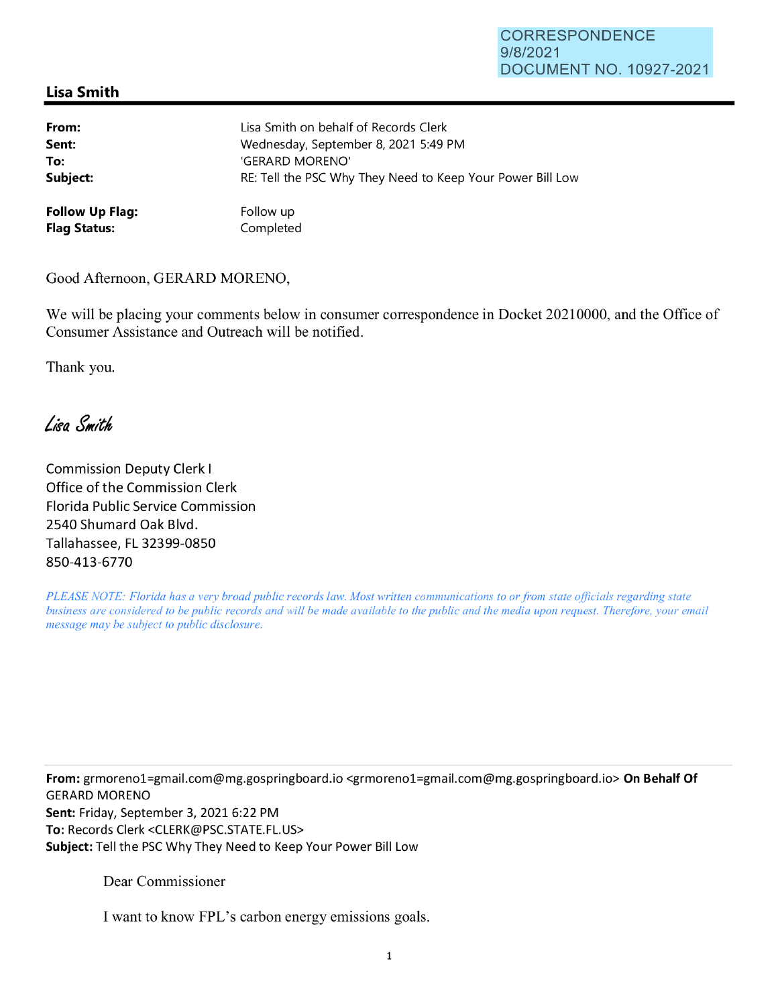## CORRESPONDENCE 9/8/2021 DOCUMENT NO. 10927-2021

## **Lisa Smith**

| From:                  | Lisa Smith on behalf of Records Clerk                      |
|------------------------|------------------------------------------------------------|
| Sent:                  | Wednesday, September 8, 2021 5:49 PM                       |
| To:                    | 'GERARD MORENO'                                            |
| Subject:               | RE: Tell the PSC Why They Need to Keep Your Power Bill Low |
| <b>Follow Up Flag:</b> | Follow up                                                  |
| <b>Flag Status:</b>    | Completed                                                  |

Good Afternoon, GERARD MORENO,

We will be placing your comments below in consumer correspondence in Docket 20210000, and the Office of Consumer Assistance and Outreach will be notified.

Thank you.

Lisa Smith

Commission Deputy Clerk I Office of the Commission Clerk Florida Public Service Commission 2540 Shumard Oak Blvd. Tallahassee, FL 32399-0850 850-413-6770

*PLEASE NOTE: Florida has a very broad public records law. Most written communications to or from state officials regarding state business are considered to be public records and will be made available to the public and the media upon request. Therefore, your email message may be subject to public disclosure.* 

**From:** grmorenol=gmail.com@mg.gospringboard.io <grmorenol=gmail.com@mg.gospringboard.io> **On Behalf Of**  GERARD MORENO **Sent:** Friday, September 3, 2021 6:22 PM **To:** Records Clerk <CLERK@PSC.STATE.FL.US> **Subject:** Tell the PSC Why They Need to Keep Your Power Bill Low

Dear Commissioner

I want to know FPL's carbon energy emissions goals.